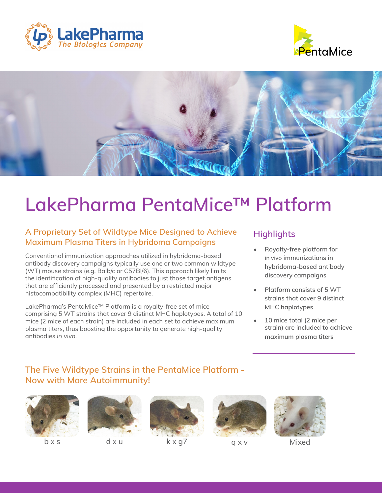





# **LakePharma PentaMice™ Platform**

#### **A Proprietary Set of Wildtype Mice Designed to Achieve Maximum Plasma Titers in Hybridoma Campaigns**

Conventional immunization approaches utilized in hybridoma-based antibody discovery campaigns typically use one or two common wildtype (WT) mouse strains (e.g. Balb/c or C57Bl/6). This approach likely limits the identification of high-quality antibodies to just those target antigens that are efficiently processed and presented by a restricted major histocompatibility complex (MHC) repertoire.

LakePharma's PentaMice™ Platform is a royalty-free set of mice comprising 5 WT strains that cover 9 distinct MHC haplotypes. A total of 10 mice (2 mice of each strain) are included in each set to achieve maximum plasma titers, thus boosting the opportunity to generate high-quality antibodies *in vivo*.

#### **Highlights**

- **• Royalty-free platform for**  in vivo **immunizations in hybridoma-based antibody discovery campaigns**
- **• Platform consists of 5 WT strains that cover 9 distinct MHC haplotypes**
- **• 10 mice total (2 mice per strain) are included to achieve maximum plasma titers**

### **The Five Wildtype Strains in the PentaMice Platform - Now with More Autoimmunity!**











b x s d x u d x u k x g7 d x v d x u d x u d x u d x v d x v d x v d x v d x v d x v d x v d x v d x v d x v d